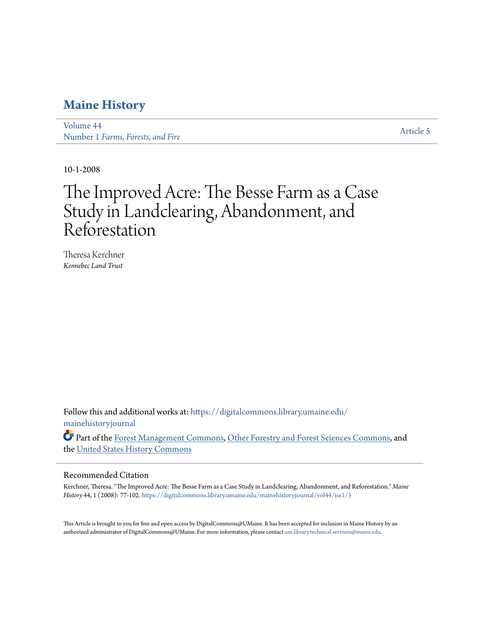## **[Maine History](https://digitalcommons.library.umaine.edu/mainehistoryjournal?utm_source=digitalcommons.library.umaine.edu%2Fmainehistoryjournal%2Fvol44%2Fiss1%2F5&utm_medium=PDF&utm_campaign=PDFCoverPages)**

[Volume 44](https://digitalcommons.library.umaine.edu/mainehistoryjournal/vol44?utm_source=digitalcommons.library.umaine.edu%2Fmainehistoryjournal%2Fvol44%2Fiss1%2F5&utm_medium=PDF&utm_campaign=PDFCoverPages) Number 1 *[Farms, Forests, and Fire](https://digitalcommons.library.umaine.edu/mainehistoryjournal/vol44/iss1?utm_source=digitalcommons.library.umaine.edu%2Fmainehistoryjournal%2Fvol44%2Fiss1%2F5&utm_medium=PDF&utm_campaign=PDFCoverPages)*

[Article 5](https://digitalcommons.library.umaine.edu/mainehistoryjournal/vol44/iss1/5?utm_source=digitalcommons.library.umaine.edu%2Fmainehistoryjournal%2Fvol44%2Fiss1%2F5&utm_medium=PDF&utm_campaign=PDFCoverPages)

10-1-2008

# The Improved Acre: The Besse Farm as a Case Study in Landclearing, Abandonment, and Reforestation

Theresa Kerchner *Kennebec Land Trust*

Follow this and additional works at: [https://digitalcommons.library.umaine.edu/](https://digitalcommons.library.umaine.edu/mainehistoryjournal?utm_source=digitalcommons.library.umaine.edu%2Fmainehistoryjournal%2Fvol44%2Fiss1%2F5&utm_medium=PDF&utm_campaign=PDFCoverPages) [mainehistoryjournal](https://digitalcommons.library.umaine.edu/mainehistoryjournal?utm_source=digitalcommons.library.umaine.edu%2Fmainehistoryjournal%2Fvol44%2Fiss1%2F5&utm_medium=PDF&utm_campaign=PDFCoverPages)

Part of the [Forest Management Commons](http://network.bepress.com/hgg/discipline/92?utm_source=digitalcommons.library.umaine.edu%2Fmainehistoryjournal%2Fvol44%2Fiss1%2F5&utm_medium=PDF&utm_campaign=PDFCoverPages), [Other Forestry and Forest Sciences Commons,](http://network.bepress.com/hgg/discipline/94?utm_source=digitalcommons.library.umaine.edu%2Fmainehistoryjournal%2Fvol44%2Fiss1%2F5&utm_medium=PDF&utm_campaign=PDFCoverPages) and the [United States History Commons](http://network.bepress.com/hgg/discipline/495?utm_source=digitalcommons.library.umaine.edu%2Fmainehistoryjournal%2Fvol44%2Fiss1%2F5&utm_medium=PDF&utm_campaign=PDFCoverPages)

## Recommended Citation

Kerchner, Theresa. "The Improved Acre: The Besse Farm as a Case Study in Landclearing, Abandonment, and Reforestation." *Maine History* 44, 1 (2008): 77-102. [https://digitalcommons.library.umaine.edu/mainehistoryjournal/vol44/iss1/5](https://digitalcommons.library.umaine.edu/mainehistoryjournal/vol44/iss1/5?utm_source=digitalcommons.library.umaine.edu%2Fmainehistoryjournal%2Fvol44%2Fiss1%2F5&utm_medium=PDF&utm_campaign=PDFCoverPages)

This Article is brought to you for free and open access by DigitalCommons@UMaine. It has been accepted for inclusion in Maine History by an authorized administrator of DigitalCommons@UMaine. For more information, please contact [um.library.technical.services@maine.edu.](mailto:um.library.technical.services@maine.edu)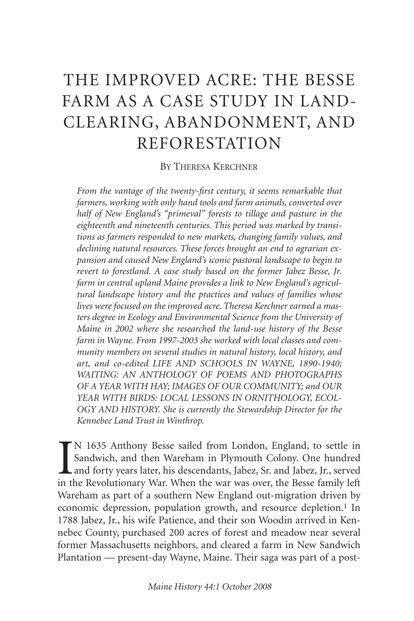## THE IMPROVED ACRE: THE BESSE FARM AS A CASE STUDY IN LAND-CLEARING, ABANDONMENT, AND REFORESTATION

BY THERESA KERCHNER

*From the vantage of the twenty-first century, it seems remarkable that farmers, working with only hand tools and farm animals, converted over half of New England's "primeval" forests to tillage and pasture in the eighteenth and nineteenth centuries. This period was marked by transitions as farmers responded to new markets, changing family values, and declining natural resources. These forces brought an end to agrarian expansion and caused New England's iconic pastoral landscape to begin to revert to forestland. A case study based on the former Jabez Besse, Jr. farm in central upland Maine provides a link to New England's agricultural landscape history and the practices and values of families whose lives were focused on the improved acre. Theresa Kerchner earned a masters degree in Ecology and Environmental Science from the University of Maine in 2002 where she researched the land-use history of the Besse farm in Wayne. From 1997-2003 she worked with local classes and community members on several studies in natural history, local history, and art, and co-edited LIFE AND SCHOOLS IN WAYNE, 1890-1940; WAITING: AN ANTHOLOGY OF POEMS AND PHOTOGRAPHS OF A YEAR WITH HAY; IMAGES OF OUR COMMUNITY; and OUR YEAR WITH BIRDS: LOCAL LESSONS IN ORNITHOLOGY, ECOL-OGY AND HISTORY. She is currently the Stewardship Director for the Kennebec Land Trust in Winthrop.*

IN 1635 Anthony Besse sailed from London, England, to settle in Sandwich, and then Wareham in Plymouth Colony. One hundred and forty years later, his descendants, Jabez, Sr. and Jabez, Jr., served in the Revolutionary War. N 1635 Anthony Besse sailed from London, England, to settle in Sandwich, and then Wareham in Plymouth Colony. One hundred and forty years later, his descendants, Jabez, Sr. and Jabez, Jr., served Wareham as part of a southern New England out-migration driven by economic depression, population growth, and resource depletion.<sup>1</sup> In 1788 Jabez, Jr., his wife Patience, and their son Woodin arrived in Kennebec County, purchased 200 acres of forest and meadow near several former Massachusetts neighbors, and cleared a farm in New Sandwich Plantation — present-day Wayne, Maine. Their saga was part of a post-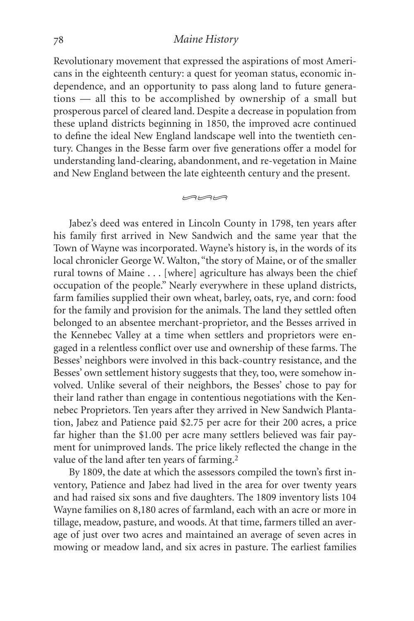## *Maine History*

Revolutionary movement that expressed the aspirations of most Americans in the eighteenth century: a quest for yeoman status, economic independence, and an opportunity to pass along land to future generations — all this to be accomplished by ownership of a small but prosperous parcel of cleared land. Despite a decrease in population from these upland districts beginning in 1850, the improved acre continued to define the ideal New England landscape well into the twentieth century. Changes in the Besse farm over five generations offer a model for understanding land-clearing, abandonment, and re-vegetation in Maine and New England between the late eighteenth century and the present.

 $m$ 

Jabez's deed was entered in Lincoln County in 1798, ten years after his family first arrived in New Sandwich and the same year that the Town of Wayne was incorporated. Wayne's history is, in the words of its local chronicler George W. Walton, "the story of Maine, or of the smaller rural towns of Maine . . . [where] agriculture has always been the chief occupation of the people." Nearly everywhere in these upland districts, farm families supplied their own wheat, barley, oats, rye, and corn: food for the family and provision for the animals. The land they settled often belonged to an absentee merchant-proprietor, and the Besses arrived in the Kennebec Valley at a time when settlers and proprietors were engaged in a relentless conflict over use and ownership of these farms. The Besses' neighbors were involved in this back-country resistance, and the Besses' own settlement history suggests that they, too, were somehow involved. Unlike several of their neighbors, the Besses' chose to pay for their land rather than engage in contentious negotiations with the Kennebec Proprietors. Ten years after they arrived in New Sandwich Plantation, Jabez and Patience paid \$2.75 per acre for their 200 acres, a price far higher than the \$1.00 per acre many settlers believed was fair payment for unimproved lands. The price likely reflected the change in the value of the land after ten years of farming.<sup>2</sup>

By 1809, the date at which the assessors compiled the town's first inventory, Patience and Jabez had lived in the area for over twenty years and had raised six sons and five daughters. The 1809 inventory lists 104 Wayne families on 8,180 acres of farmland, each with an acre or more in tillage, meadow, pasture, and woods. At that time, farmers tilled an average of just over two acres and maintained an average of seven acres in mowing or meadow land, and six acres in pasture. The earliest families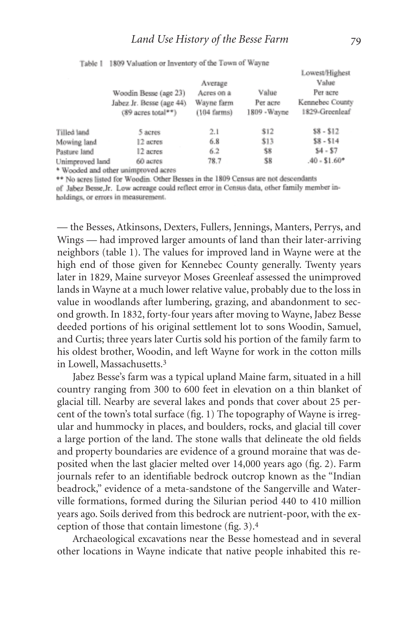|                 | Woodin Besse (age 23)<br>Jabez Jr. Besse (age 44)<br>$(89$ acres total**) | Average<br>Acres on a<br>Wayne farm<br>$(104$ farms) | Value<br>Per acre<br>1809 - Wayne | <b>Lowest/Highest</b><br>Value<br>Per acre<br>Kennebec County<br>1829-Greenleaf |
|-----------------|---------------------------------------------------------------------------|------------------------------------------------------|-----------------------------------|---------------------------------------------------------------------------------|
| filled land     | 5 acres                                                                   | 2.1                                                  | \$12                              | $$8 - $12$                                                                      |
| Mowing land     | 12 acres                                                                  | 6.8                                                  | \$13                              | $$8 - $14$                                                                      |
| asture land     | 12 acres                                                                  | 6.2                                                  | \$8                               | $$4 - $7$                                                                       |
| Inimproved land | 60 acres                                                                  | 78.7                                                 | \$8                               | $.40 - $1.60*$                                                                  |
| .               |                                                                           |                                                      |                                   |                                                                                 |

Table 1 1809 Valuation or Inventory of the Town of Wayne

\* Wooded and other unimproved acres

\*\* No acres listed for Woodin. Other Besses in the 1809 Census are not descendants of Jabez Besse Jr. Low acreage could reflect error in Census data, other family member inholdings, or errors in measurement.

— the Besses, Atkinsons, Dexters, Fullers, Jennings, Manters, Perrys, and Wings — had improved larger amounts of land than their later-arriving neighbors (table 1). The values for improved land in Wayne were at the high end of those given for Kennebec County generally. Twenty years later in 1829, Maine surveyor Moses Greenleaf assessed the unimproved lands in Wayne at a much lower relative value, probably due to the loss in value in woodlands after lumbering, grazing, and abandonment to second growth. In 1832, forty-four years after moving to Wayne, Jabez Besse deeded portions of his original settlement lot to sons Woodin, Samuel, and Curtis; three years later Curtis sold his portion of the family farm to his oldest brother, Woodin, and left Wayne for work in the cotton mills in Lowell, Massachusetts.3

Jabez Besse's farm was a typical upland Maine farm, situated in a hill country ranging from 300 to 600 feet in elevation on a thin blanket of glacial till. Nearby are several lakes and ponds that cover about 25 percent of the town's total surface (fig. 1) The topography of Wayne is irregular and hummocky in places, and boulders, rocks, and glacial till cover a large portion of the land. The stone walls that delineate the old fields and property boundaries are evidence of a ground moraine that was deposited when the last glacier melted over 14,000 years ago (fig. 2). Farm journals refer to an identifiable bedrock outcrop known as the "Indian beadrock," evidence of a meta-sandstone of the Sangerville and Waterville formations, formed during the Silurian period 440 to 410 million years ago. Soils derived from this bedrock are nutrient-poor, with the exception of those that contain limestone (fig. 3).4

Archaeological excavations near the Besse homestead and in several other locations in Wayne indicate that native people inhabited this re-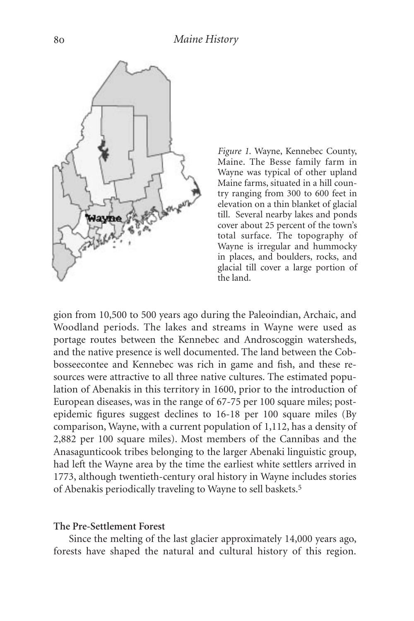

*Figure 1.* Wayne, Kennebec County, Maine. The Besse family farm in Wayne was typical of other upland Maine farms, situated in a hill country ranging from 300 to 600 feet in elevation on a thin blanket of glacial till. Several nearby lakes and ponds cover about 25 percent of the town's total surface. The topography of Wayne is irregular and hummocky in places, and boulders, rocks, and glacial till cover a large portion of the land.

gion from 10,500 to 500 years ago during the Paleoindian, Archaic, and Woodland periods. The lakes and streams in Wayne were used as portage routes between the Kennebec and Androscoggin watersheds, and the native presence is well documented. The land between the Cobbosseecontee and Kennebec was rich in game and fish, and these resources were attractive to all three native cultures. The estimated population of Abenakis in this territory in 1600, prior to the introduction of European diseases, was in the range of 67-75 per 100 square miles; postepidemic figures suggest declines to 16-18 per 100 square miles (By comparison, Wayne, with a current population of 1,112, has a density of 2,882 per 100 square miles). Most members of the Cannibas and the Anasagunticook tribes belonging to the larger Abenaki linguistic group, had left the Wayne area by the time the earliest white settlers arrived in 1773, although twentieth-century oral history in Wayne includes stories of Abenakis periodically traveling to Wayne to sell baskets.5

#### **The Pre-Settlement Forest**

Since the melting of the last glacier approximately 14,000 years ago, forests have shaped the natural and cultural history of this region.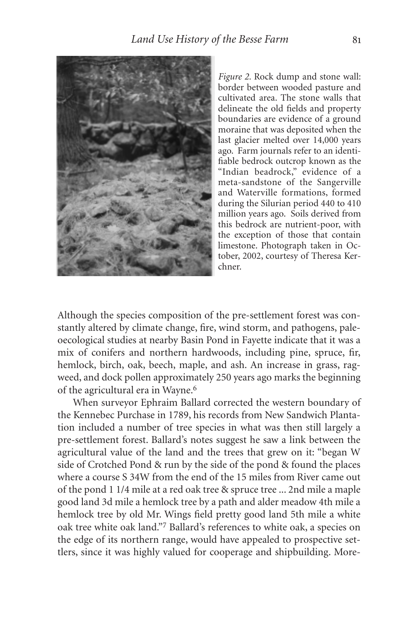

*Figure 2.* Rock dump and stone wall: border between wooded pasture and cultivated area. The stone walls that delineate the old fields and property boundaries are evidence of a ground moraine that was deposited when the last glacier melted over 14,000 years ago. Farm journals refer to an identifiable bedrock outcrop known as the "Indian beadrock," evidence of a meta-sandstone of the Sangerville and Waterville formations, formed during the Silurian period 440 to 410 million years ago. Soils derived from this bedrock are nutrient-poor, with the exception of those that contain limestone. Photograph taken in October, 2002, courtesy of Theresa Kerchner.

Although the species composition of the pre-settlement forest was constantly altered by climate change, fire, wind storm, and pathogens, paleoecological studies at nearby Basin Pond in Fayette indicate that it was a mix of conifers and northern hardwoods, including pine, spruce, fir, hemlock, birch, oak, beech, maple, and ash. An increase in grass, ragweed, and dock pollen approximately 250 years ago marks the beginning of the agricultural era in Wayne.6

When surveyor Ephraim Ballard corrected the western boundary of the Kennebec Purchase in 1789, his records from New Sandwich Plantation included a number of tree species in what was then still largely a pre-settlement forest. Ballard's notes suggest he saw a link between the agricultural value of the land and the trees that grew on it: "began W side of Crotched Pond & run by the side of the pond & found the places where a course S 34W from the end of the 15 miles from River came out of the pond 1 1/4 mile at a red oak tree & spruce tree ... 2nd mile a maple good land 3d mile a hemlock tree by a path and alder meadow 4th mile a hemlock tree by old Mr. Wings field pretty good land 5th mile a white oak tree white oak land."7 Ballard's references to white oak, a species on the edge of its northern range, would have appealed to prospective settlers, since it was highly valued for cooperage and shipbuilding. More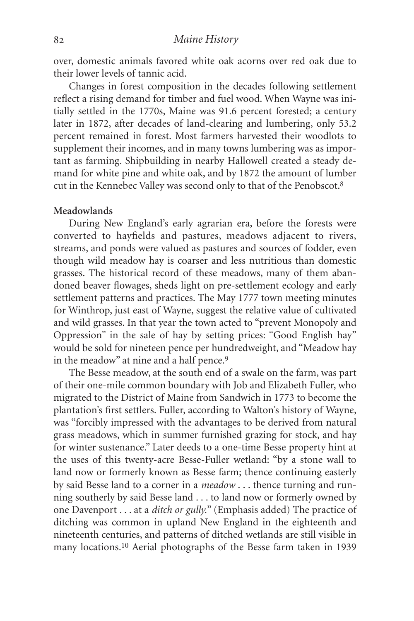over, domestic animals favored white oak acorns over red oak due to their lower levels of tannic acid.

Changes in forest composition in the decades following settlement reflect a rising demand for timber and fuel wood. When Wayne was initially settled in the 1770s, Maine was 91.6 percent forested; a century later in 1872, after decades of land-clearing and lumbering, only 53.2 percent remained in forest. Most farmers harvested their woodlots to supplement their incomes, and in many towns lumbering was as important as farming. Shipbuilding in nearby Hallowell created a steady demand for white pine and white oak, and by 1872 the amount of lumber cut in the Kennebec Valley was second only to that of the Penobscot.8

### **Meadowlands**

During New England's early agrarian era, before the forests were converted to hayfields and pastures, meadows adjacent to rivers, streams, and ponds were valued as pastures and sources of fodder, even though wild meadow hay is coarser and less nutritious than domestic grasses. The historical record of these meadows, many of them abandoned beaver flowages, sheds light on pre-settlement ecology and early settlement patterns and practices. The May 1777 town meeting minutes for Winthrop, just east of Wayne, suggest the relative value of cultivated and wild grasses. In that year the town acted to "prevent Monopoly and Oppression" in the sale of hay by setting prices: "Good English hay" would be sold for nineteen pence per hundredweight, and "Meadow hay in the meadow" at nine and a half pence.<sup>9</sup>

The Besse meadow, at the south end of a swale on the farm, was part of their one-mile common boundary with Job and Elizabeth Fuller, who migrated to the District of Maine from Sandwich in 1773 to become the plantation's first settlers. Fuller, according to Walton's history of Wayne, was "forcibly impressed with the advantages to be derived from natural grass meadows, which in summer furnished grazing for stock, and hay for winter sustenance." Later deeds to a one-time Besse property hint at the uses of this twenty-acre Besse-Fuller wetland: "by a stone wall to land now or formerly known as Besse farm; thence continuing easterly by said Besse land to a corner in a *meadow* . . . thence turning and running southerly by said Besse land . . . to land now or formerly owned by one Davenport . . . at a *ditch or gully.*" (Emphasis added) The practice of ditching was common in upland New England in the eighteenth and nineteenth centuries, and patterns of ditched wetlands are still visible in many locations.10 Aerial photographs of the Besse farm taken in 1939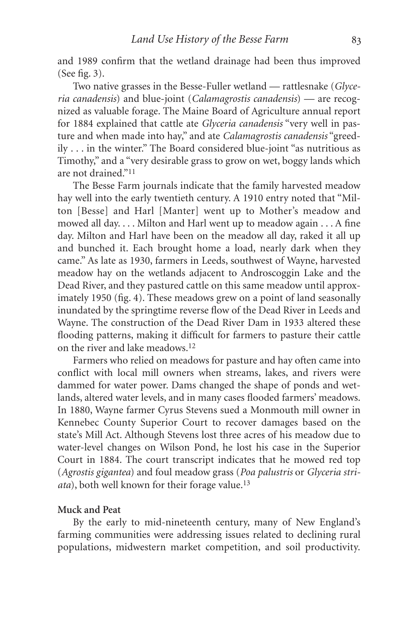and 1989 confirm that the wetland drainage had been thus improved (See fig. 3).

Two native grasses in the Besse-Fuller wetland — rattlesnake (*Glyceria canadensis*) and blue-joint (*Calamagrostis canadensis*) — are recognized as valuable forage. The Maine Board of Agriculture annual report for 1884 explained that cattle ate *Glyceria canadensis* "very well in pasture and when made into hay," and ate *Calamagrostis canadensis* "greedily . . . in the winter." The Board considered blue-joint "as nutritious as Timothy," and a "very desirable grass to grow on wet, boggy lands which are not drained."11

The Besse Farm journals indicate that the family harvested meadow hay well into the early twentieth century. A 1910 entry noted that "Milton [Besse] and Harl [Manter] went up to Mother's meadow and mowed all day. . . . Milton and Harl went up to meadow again . . . A fine day. Milton and Harl have been on the meadow all day, raked it all up and bunched it. Each brought home a load, nearly dark when they came." As late as 1930, farmers in Leeds, southwest of Wayne, harvested meadow hay on the wetlands adjacent to Androscoggin Lake and the Dead River, and they pastured cattle on this same meadow until approximately 1950 (fig. 4). These meadows grew on a point of land seasonally inundated by the springtime reverse flow of the Dead River in Leeds and Wayne. The construction of the Dead River Dam in 1933 altered these flooding patterns, making it difficult for farmers to pasture their cattle on the river and lake meadows.12

Farmers who relied on meadows for pasture and hay often came into conflict with local mill owners when streams, lakes, and rivers were dammed for water power. Dams changed the shape of ponds and wetlands, altered water levels, and in many cases flooded farmers' meadows. In 1880, Wayne farmer Cyrus Stevens sued a Monmouth mill owner in Kennebec County Superior Court to recover damages based on the state's Mill Act. Although Stevens lost three acres of his meadow due to water-level changes on Wilson Pond, he lost his case in the Superior Court in 1884. The court transcript indicates that he mowed red top (*Agrostis gigantea*) and foul meadow grass (*Poa palustris* or *Glyceria striata*), both well known for their forage value.13

#### **Muck and Peat**

By the early to mid-nineteenth century, many of New England's farming communities were addressing issues related to declining rural populations, midwestern market competition, and soil productivity.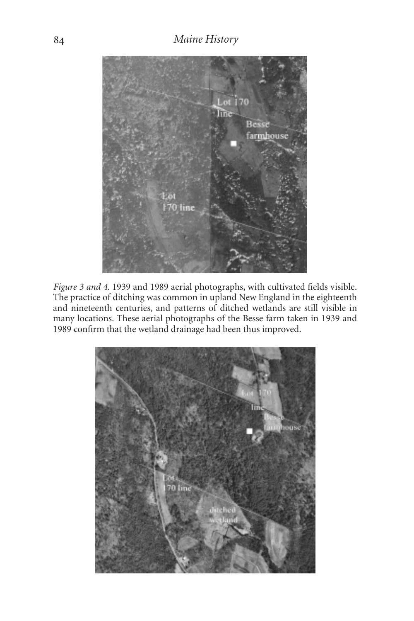## *Maine History*



*Figure 3 and 4.* 1939 and 1989 aerial photographs, with cultivated fields visible. The practice of ditching was common in upland New England in the eighteenth and nineteenth centuries, and patterns of ditched wetlands are still visible in many locations. These aerial photographs of the Besse farm taken in 1939 and 1989 confirm that the wetland drainage had been thus improved.

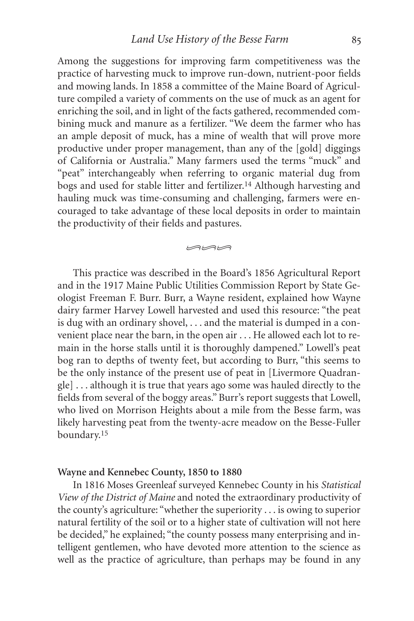Among the suggestions for improving farm competitiveness was the practice of harvesting muck to improve run-down, nutrient-poor fields and mowing lands. In 1858 a committee of the Maine Board of Agriculture compiled a variety of comments on the use of muck as an agent for enriching the soil, and in light of the facts gathered, recommended combining muck and manure as a fertilizer. "We deem the farmer who has an ample deposit of muck, has a mine of wealth that will prove more productive under proper management, than any of the [gold] diggings of California or Australia." Many farmers used the terms "muck" and "peat" interchangeably when referring to organic material dug from bogs and used for stable litter and fertilizer.14 Although harvesting and hauling muck was time-consuming and challenging, farmers were encouraged to take advantage of these local deposits in order to maintain the productivity of their fields and pastures.

 $m$ 

This practice was described in the Board's 1856 Agricultural Report and in the 1917 Maine Public Utilities Commission Report by State Geologist Freeman F. Burr. Burr, a Wayne resident, explained how Wayne dairy farmer Harvey Lowell harvested and used this resource: "the peat is dug with an ordinary shovel, . . . and the material is dumped in a convenient place near the barn, in the open air . . . He allowed each lot to remain in the horse stalls until it is thoroughly dampened." Lowell's peat bog ran to depths of twenty feet, but according to Burr, "this seems to be the only instance of the present use of peat in [Livermore Quadrangle] . . . although it is true that years ago some was hauled directly to the fields from several of the boggy areas." Burr's report suggests that Lowell, who lived on Morrison Heights about a mile from the Besse farm, was likely harvesting peat from the twenty-acre meadow on the Besse-Fuller boundary.15

#### **Wayne and Kennebec County, 1850 to 1880**

In 1816 Moses Greenleaf surveyed Kennebec County in his *Statistical View of the District of Maine* and noted the extraordinary productivity of the county's agriculture: "whether the superiority . . . is owing to superior natural fertility of the soil or to a higher state of cultivation will not here be decided," he explained; "the county possess many enterprising and intelligent gentlemen, who have devoted more attention to the science as well as the practice of agriculture, than perhaps may be found in any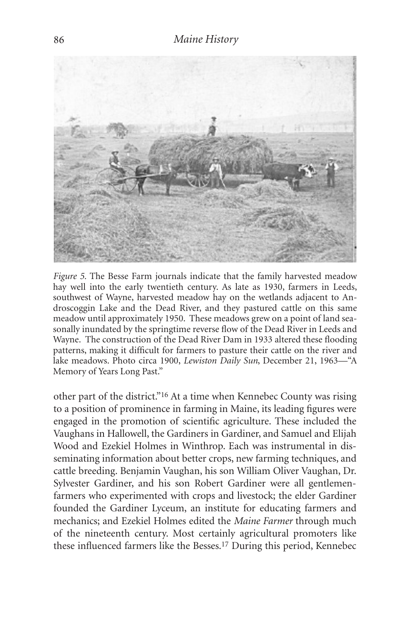

*Figure 5.* The Besse Farm journals indicate that the family harvested meadow hay well into the early twentieth century. As late as 1930, farmers in Leeds, southwest of Wayne, harvested meadow hay on the wetlands adjacent to Androscoggin Lake and the Dead River, and they pastured cattle on this same meadow until approximately 1950. These meadows grew on a point of land seasonally inundated by the springtime reverse flow of the Dead River in Leeds and Wayne. The construction of the Dead River Dam in 1933 altered these flooding patterns, making it difficult for farmers to pasture their cattle on the river and lake meadows. Photo circa 1900, *Lewiston Daily Sun*, December 21, 1963—"A Memory of Years Long Past."

other part of the district."16 At a time when Kennebec County was rising to a position of prominence in farming in Maine, its leading figures were engaged in the promotion of scientific agriculture. These included the Vaughans in Hallowell, the Gardiners in Gardiner, and Samuel and Elijah Wood and Ezekiel Holmes in Winthrop. Each was instrumental in disseminating information about better crops, new farming techniques, and cattle breeding. Benjamin Vaughan, his son William Oliver Vaughan, Dr. Sylvester Gardiner, and his son Robert Gardiner were all gentlemenfarmers who experimented with crops and livestock; the elder Gardiner founded the Gardiner Lyceum, an institute for educating farmers and mechanics; and Ezekiel Holmes edited the *Maine Farmer* through much of the nineteenth century. Most certainly agricultural promoters like these influenced farmers like the Besses.17 During this period, Kennebec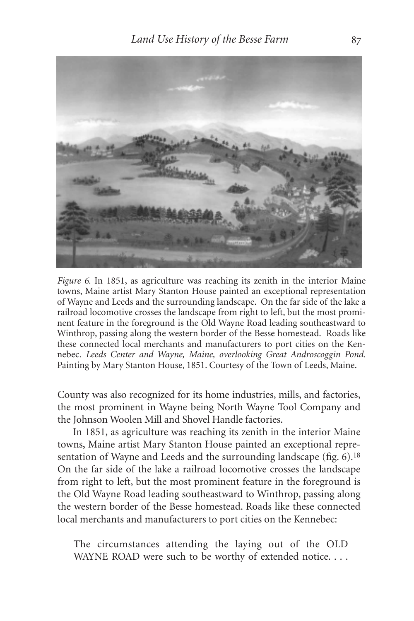

*Figure 6.* In 1851, as agriculture was reaching its zenith in the interior Maine towns, Maine artist Mary Stanton House painted an exceptional representation of Wayne and Leeds and the surrounding landscape. On the far side of the lake a railroad locomotive crosses the landscape from right to left, but the most prominent feature in the foreground is the Old Wayne Road leading southeastward to Winthrop, passing along the western border of the Besse homestead. Roads like these connected local merchants and manufacturers to port cities on the Kennebec. *Leeds Center and Wayne, Maine, overlooking Great Androscoggin Pond.* Painting by Mary Stanton House, 1851. Courtesy of the Town of Leeds, Maine.

County was also recognized for its home industries, mills, and factories, the most prominent in Wayne being North Wayne Tool Company and the Johnson Woolen Mill and Shovel Handle factories.

In 1851, as agriculture was reaching its zenith in the interior Maine towns, Maine artist Mary Stanton House painted an exceptional representation of Wayne and Leeds and the surrounding landscape (fig. 6).<sup>18</sup> On the far side of the lake a railroad locomotive crosses the landscape from right to left, but the most prominent feature in the foreground is the Old Wayne Road leading southeastward to Winthrop, passing along the western border of the Besse homestead. Roads like these connected local merchants and manufacturers to port cities on the Kennebec:

The circumstances attending the laying out of the OLD WAYNE ROAD were such to be worthy of extended notice. . . .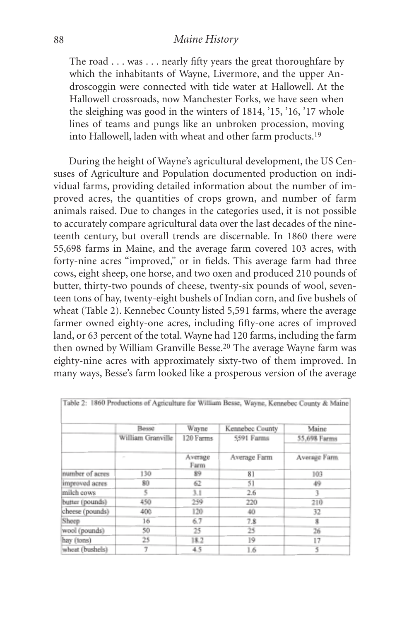## *Maine History*

The road . . . was . . . nearly fifty years the great thoroughfare by which the inhabitants of Wayne, Livermore, and the upper Androscoggin were connected with tide water at Hallowell. At the Hallowell crossroads, now Manchester Forks, we have seen when the sleighing was good in the winters of 1814, '15, '16, '17 whole lines of teams and pungs like an unbroken procession, moving into Hallowell, laden with wheat and other farm products.19

During the height of Wayne's agricultural development, the US Censuses of Agriculture and Population documented production on individual farms, providing detailed information about the number of improved acres, the quantities of crops grown, and number of farm animals raised. Due to changes in the categories used, it is not possible to accurately compare agricultural data over the last decades of the nineteenth century, but overall trends are discernable. In 1860 there were 55,698 farms in Maine, and the average farm covered 103 acres, with forty-nine acres "improved," or in fields. This average farm had three cows, eight sheep, one horse, and two oxen and produced 210 pounds of butter, thirty-two pounds of cheese, twenty-six pounds of wool, seventeen tons of hay, twenty-eight bushels of Indian corn, and five bushels of wheat (Table 2). Kennebec County listed 5,591 farms, where the average farmer owned eighty-one acres, including fifty-one acres of improved land, or 63 percent of the total. Wayne had 120 farms, including the farm then owned by William Granville Besse.20 The average Wayne farm was eighty-nine acres with approximately sixty-two of them improved. In many ways, Besse's farm looked like a prosperous version of the average

|                 | Besse             | Wayne           | Kennebec County | Maine        |
|-----------------|-------------------|-----------------|-----------------|--------------|
|                 | William Granville | 120 Farms       | 5591 Farms      | 55,698 Farms |
|                 | $\sim$            | Average<br>Farm | Average Farm    | Average Farm |
| number of acres | 130               | 89              | 81              | 103          |
| improved acres  | 80                | 62              | 51              | 49           |
| milch cows      | 5                 | 3.1             | 2.6             | 3            |
| butter (pounds) | 450               | 259             | 220             | 210          |
| cheese (pounds) | 400               | 120             | 40              | 32           |
| Sheep           | 16                | 6.7             | 7.8             | 8            |
| wool (pounds)   | 50                | 25              | 25              | 26           |
| hay (tons)      | 25                | 18.2            | 19              | 17           |
| wheat (bushels) | Ť                 | 4.5             | 1.6             | 5            |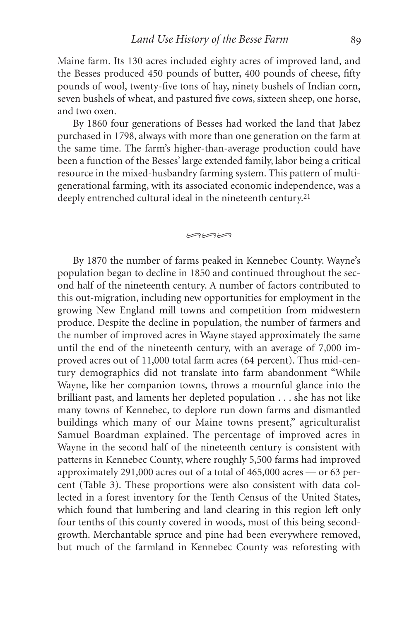Maine farm. Its 130 acres included eighty acres of improved land, and the Besses produced 450 pounds of butter, 400 pounds of cheese, fifty pounds of wool, twenty-five tons of hay, ninety bushels of Indian corn, seven bushels of wheat, and pastured five cows, sixteen sheep, one horse, and two oxen.

By 1860 four generations of Besses had worked the land that Jabez purchased in 1798, always with more than one generation on the farm at the same time. The farm's higher-than-average production could have been a function of the Besses' large extended family, labor being a critical resource in the mixed-husbandry farming system. This pattern of multigenerational farming, with its associated economic independence, was a deeply entrenched cultural ideal in the nineteenth century.<sup>21</sup>

 $m<sub>w</sub>$ 

By 1870 the number of farms peaked in Kennebec County. Wayne's population began to decline in 1850 and continued throughout the second half of the nineteenth century. A number of factors contributed to this out-migration, including new opportunities for employment in the growing New England mill towns and competition from midwestern produce. Despite the decline in population, the number of farmers and the number of improved acres in Wayne stayed approximately the same until the end of the nineteenth century, with an average of 7,000 improved acres out of 11,000 total farm acres (64 percent). Thus mid-century demographics did not translate into farm abandonment "While Wayne, like her companion towns, throws a mournful glance into the brilliant past, and laments her depleted population . . . she has not like many towns of Kennebec, to deplore run down farms and dismantled buildings which many of our Maine towns present," agriculturalist Samuel Boardman explained. The percentage of improved acres in Wayne in the second half of the nineteenth century is consistent with patterns in Kennebec County, where roughly 5,500 farms had improved approximately 291,000 acres out of a total of 465,000 acres — or 63 percent (Table 3). These proportions were also consistent with data collected in a forest inventory for the Tenth Census of the United States, which found that lumbering and land clearing in this region left only four tenths of this county covered in woods, most of this being secondgrowth. Merchantable spruce and pine had been everywhere removed, but much of the farmland in Kennebec County was reforesting with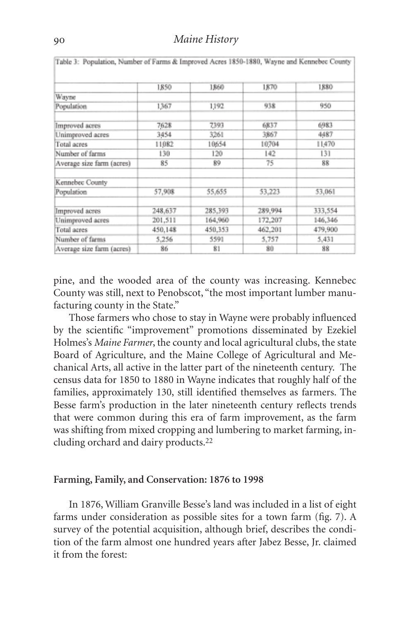|                           | 1850    | 1,860   | 1870    | 1880    |
|---------------------------|---------|---------|---------|---------|
| Wayne                     |         |         |         |         |
| Population                | 1367    | 1192    | 938     | 950     |
| Improved acres            | 7628    | 7393    | 6837    | 6983    |
| Unimproved acres          | 3454    | 3261    | 3867    | 4487    |
| Total acres               | 11082   | 10654   | 10704   | 11470   |
| Number of farms           | 130     | 120     | 142     | 131     |
| Average size farm (acres) | 85      | 89      | 75      | 88      |
| Kennebec County           |         |         |         |         |
| Population                | 57,908  | 55,655  | 53,223  | 53,061  |
| Improved acres            | 248,637 | 285,393 | 289,994 | 333,554 |
| Unimproved acres          | 201,511 | 164,960 | 172,207 | 146,346 |
| Total acres               | 450,148 | 450,353 | 462,201 | 479,900 |
| Number of farms           | 5.256   | 5591    | 5,757   | 5,431   |
| Average size farm (acres) | 86      | 81      | 80      | 88      |

pine, and the wooded area of the county was increasing. Kennebec County was still, next to Penobscot, "the most important lumber manufacturing county in the State."

Those farmers who chose to stay in Wayne were probably influenced by the scientific "improvement" promotions disseminated by Ezekiel Holmes's *Maine Farmer*, the county and local agricultural clubs, the state Board of Agriculture, and the Maine College of Agricultural and Mechanical Arts, all active in the latter part of the nineteenth century. The census data for 1850 to 1880 in Wayne indicates that roughly half of the families, approximately 130, still identified themselves as farmers. The Besse farm's production in the later nineteenth century reflects trends that were common during this era of farm improvement, as the farm was shifting from mixed cropping and lumbering to market farming, including orchard and dairy products.22

#### **Farming, Family, and Conservation: 1876 to 1998**

In 1876, William Granville Besse's land was included in a list of eight farms under consideration as possible sites for a town farm (fig. 7). A survey of the potential acquisition, although brief, describes the condition of the farm almost one hundred years after Jabez Besse, Jr. claimed it from the forest: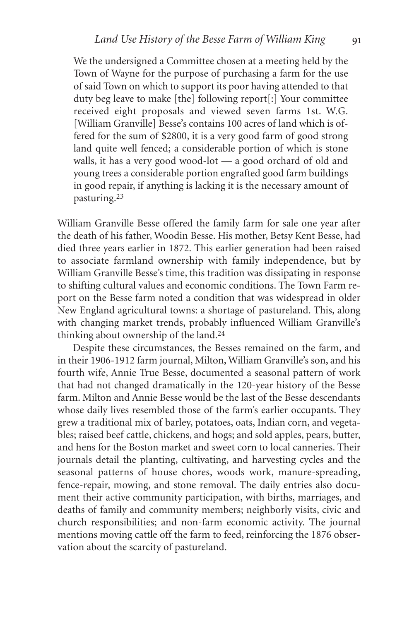We the undersigned a Committee chosen at a meeting held by the Town of Wayne for the purpose of purchasing a farm for the use of said Town on which to support its poor having attended to that duty beg leave to make [the] following report[:] Your committee received eight proposals and viewed seven farms 1st. W.G. [William Granville] Besse's contains 100 acres of land which is offered for the sum of \$2800, it is a very good farm of good strong land quite well fenced; a considerable portion of which is stone walls, it has a very good wood-lot — a good orchard of old and young trees a considerable portion engrafted good farm buildings in good repair, if anything is lacking it is the necessary amount of pasturing.23

William Granville Besse offered the family farm for sale one year after the death of his father, Woodin Besse. His mother, Betsy Kent Besse, had died three years earlier in 1872. This earlier generation had been raised to associate farmland ownership with family independence, but by William Granville Besse's time, this tradition was dissipating in response to shifting cultural values and economic conditions. The Town Farm report on the Besse farm noted a condition that was widespread in older New England agricultural towns: a shortage of pastureland. This, along with changing market trends, probably influenced William Granville's thinking about ownership of the land.24

Despite these circumstances, the Besses remained on the farm, and in their 1906-1912 farm journal, Milton, William Granville's son, and his fourth wife, Annie True Besse, documented a seasonal pattern of work that had not changed dramatically in the 120-year history of the Besse farm. Milton and Annie Besse would be the last of the Besse descendants whose daily lives resembled those of the farm's earlier occupants. They grew a traditional mix of barley, potatoes, oats, Indian corn, and vegetables; raised beef cattle, chickens, and hogs; and sold apples, pears, butter, and hens for the Boston market and sweet corn to local canneries. Their journals detail the planting, cultivating, and harvesting cycles and the seasonal patterns of house chores, woods work, manure-spreading, fence-repair, mowing, and stone removal. The daily entries also document their active community participation, with births, marriages, and deaths of family and community members; neighborly visits, civic and church responsibilities; and non-farm economic activity. The journal mentions moving cattle off the farm to feed, reinforcing the 1876 observation about the scarcity of pastureland.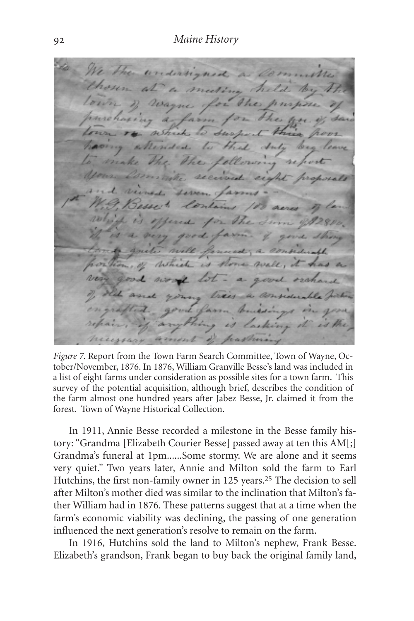We the undersigned a lo al Vagne for her a farm netrick 1 the. secon tes 2 acre Storm B very 1 gove nete will formed; a considerable which is flore well word lot mary trees a comp vil farm Conclotion es lasting peasters mont

*Figure 7.* Report from the Town Farm Search Committee, Town of Wayne, October/November, 1876. In 1876, William Granville Besse's land was included in a list of eight farms under consideration as possible sites for a town farm. This survey of the potential acquisition, although brief, describes the condition of the farm almost one hundred years after Jabez Besse, Jr. claimed it from the forest. Town of Wayne Historical Collection.

In 1911, Annie Besse recorded a milestone in the Besse family history: "Grandma [Elizabeth Courier Besse] passed away at ten this AM[;] Grandma's funeral at 1pm*...*...Some stormy. We are alone and it seems very quiet." Two years later, Annie and Milton sold the farm to Earl Hutchins, the first non-family owner in 125 years.<sup>25</sup> The decision to sell after Milton's mother died was similar to the inclination that Milton's father William had in 1876. These patterns suggest that at a time when the farm's economic viability was declining, the passing of one generation influenced the next generation's resolve to remain on the farm.

In 1916, Hutchins sold the land to Milton's nephew, Frank Besse. Elizabeth's grandson, Frank began to buy back the original family land,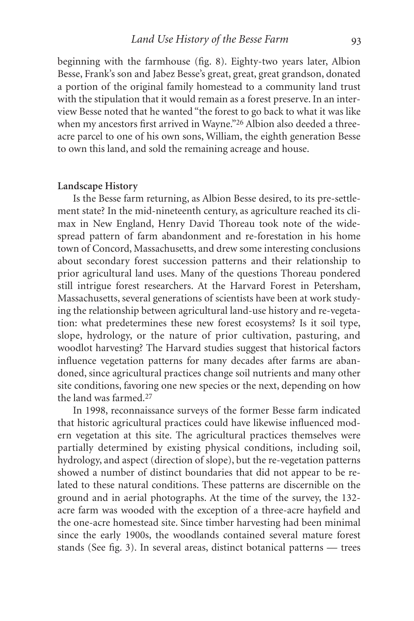beginning with the farmhouse (fig. 8). Eighty-two years later, Albion Besse, Frank's son and Jabez Besse's great, great, great grandson, donated a portion of the original family homestead to a community land trust with the stipulation that it would remain as a forest preserve. In an interview Besse noted that he wanted "the forest to go back to what it was like when my ancestors first arrived in Wayne."<sup>26</sup> Albion also deeded a threeacre parcel to one of his own sons, William, the eighth generation Besse to own this land, and sold the remaining acreage and house.

#### **Landscape History**

Is the Besse farm returning, as Albion Besse desired, to its pre-settlement state? In the mid-nineteenth century, as agriculture reached its climax in New England, Henry David Thoreau took note of the widespread pattern of farm abandonment and re-forestation in his home town of Concord, Massachusetts, and drew some interesting conclusions about secondary forest succession patterns and their relationship to prior agricultural land uses. Many of the questions Thoreau pondered still intrigue forest researchers. At the Harvard Forest in Petersham, Massachusetts, several generations of scientists have been at work studying the relationship between agricultural land-use history and re-vegetation: what predetermines these new forest ecosystems? Is it soil type, slope, hydrology, or the nature of prior cultivation, pasturing, and woodlot harvesting? The Harvard studies suggest that historical factors influence vegetation patterns for many decades after farms are abandoned, since agricultural practices change soil nutrients and many other site conditions, favoring one new species or the next, depending on how the land was farmed.27

In 1998, reconnaissance surveys of the former Besse farm indicated that historic agricultural practices could have likewise influenced modern vegetation at this site. The agricultural practices themselves were partially determined by existing physical conditions, including soil, hydrology, and aspect (direction of slope), but the re-vegetation patterns showed a number of distinct boundaries that did not appear to be related to these natural conditions. These patterns are discernible on the ground and in aerial photographs. At the time of the survey, the 132 acre farm was wooded with the exception of a three-acre hayfield and the one-acre homestead site. Since timber harvesting had been minimal since the early 1900s, the woodlands contained several mature forest stands (See fig. 3). In several areas, distinct botanical patterns — trees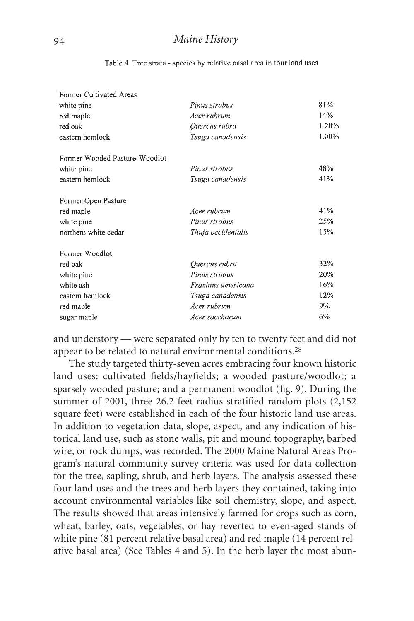| Former Cultivated Areas       |                    |       |
|-------------------------------|--------------------|-------|
| white pine                    | Pinus strobus      | 81%   |
| red maple                     | Acer rubrum        | 14%   |
| red oak                       | Quercus rubra      | 1.20% |
| eastern hemlock               | Tsuga canadensis   | 1.00% |
| Former Wooded Pasture-Woodlot |                    |       |
| white pine                    | Pinus strobus      | 48%   |
| eastern hemlock               | Tsuga canadensis   | 41%   |
| Former Open Pasture           |                    |       |
| red maple                     | Acer ruhrum        | 41%   |
| white pine                    | Pinus strobus      | 25%   |
| northern white cedar          | Thuja occidentalis | 15%   |
| Former Woodlot                |                    |       |
| red oak                       | Quercus rubra      | 32%   |
| white pine                    | Pinus strobus      | 20%   |
| white ash                     | Fraxinus americana | 16%   |
| eastern hemlock               | Tsuga canadensis   | 12%   |
| red maple                     | Acer rubrum        | 9%    |
| sugar maple                   | Acer saccharum     |       |

Table 4 Tree strata - species by relative basal area in four land uses

and understory — were separated only by ten to twenty feet and did not appear to be related to natural environmental conditions.28

The study targeted thirty-seven acres embracing four known historic land uses: cultivated fields/hayfields; a wooded pasture/woodlot; a sparsely wooded pasture; and a permanent woodlot (fig. 9). During the summer of 2001, three 26.2 feet radius stratified random plots (2,152 square feet) were established in each of the four historic land use areas. In addition to vegetation data, slope, aspect, and any indication of historical land use, such as stone walls, pit and mound topography, barbed wire, or rock dumps, was recorded. The 2000 Maine Natural Areas Program's natural community survey criteria was used for data collection for the tree, sapling, shrub, and herb layers. The analysis assessed these four land uses and the trees and herb layers they contained, taking into account environmental variables like soil chemistry, slope, and aspect. The results showed that areas intensively farmed for crops such as corn, wheat, barley, oats, vegetables, or hay reverted to even-aged stands of white pine (81 percent relative basal area) and red maple (14 percent relative basal area) (See Tables 4 and 5). In the herb layer the most abun-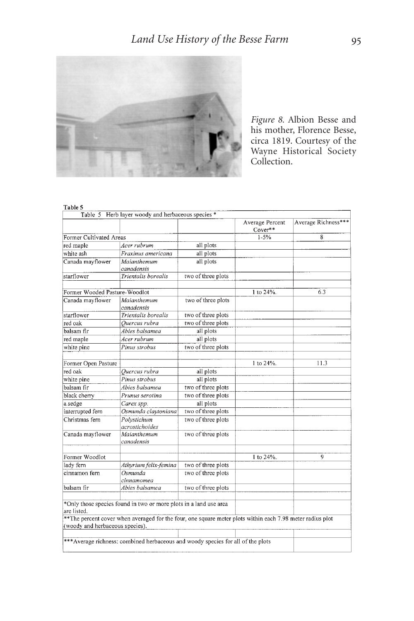

*Figure 8.* Albion Besse and his mother, Florence Besse, circa 1819. Courtesy of the Wayne Historical Society Collection.

#### Table 5

|                                                | Table 5 Herb layer woody and herbaceous species *                                                                                                                               |                    |                            |                     |
|------------------------------------------------|---------------------------------------------------------------------------------------------------------------------------------------------------------------------------------|--------------------|----------------------------|---------------------|
|                                                |                                                                                                                                                                                 |                    | Average Percent<br>Cover** | Average Richness*** |
| Former Cultivated Areas                        |                                                                                                                                                                                 |                    | $1 - 5%$                   | 8                   |
| red maple                                      | Acer rubrum                                                                                                                                                                     | all plots          |                            |                     |
| white ash                                      | Fraxinus americana                                                                                                                                                              | all plots          |                            |                     |
| Canada mayflower                               | Maianthemum<br>canadensis                                                                                                                                                       | all plots          |                            |                     |
| starflower                                     | Trientalis borealis                                                                                                                                                             | two of three plots |                            |                     |
| Former Wooded Pasture-Woodlot                  |                                                                                                                                                                                 |                    | 1 to 24%.                  | 6.3                 |
| Canada mayflower                               | Maianthemum<br>canadensis                                                                                                                                                       | two of three plots |                            |                     |
| starflower                                     | Trientalis borealis                                                                                                                                                             | two of three plots |                            |                     |
| red oak                                        | Ouercus rubra                                                                                                                                                                   | two of three plots |                            |                     |
| balsam fir                                     | Abies balsamea                                                                                                                                                                  | all plots          |                            |                     |
| red maple                                      | Acer rubrum                                                                                                                                                                     | all plots          |                            |                     |
| white pine                                     | Pinus strobus                                                                                                                                                                   | two of three plots |                            |                     |
| Former Open Pasture                            |                                                                                                                                                                                 |                    | 1 to 24%.                  | 11.3                |
| red oak                                        | Ouercus rubra                                                                                                                                                                   | all plots          |                            |                     |
| white pine                                     | Pinus strobus                                                                                                                                                                   | all plots          |                            |                     |
| balsam fir                                     | Abies balsamea                                                                                                                                                                  | two of three plots |                            |                     |
| black cherry                                   | Prunus serotina                                                                                                                                                                 | two of three plots |                            |                     |
| a sedge                                        | Carex spp.                                                                                                                                                                      | all plots          |                            |                     |
| interrupted fern                               | Osmunda claytoniana                                                                                                                                                             | two of three plots |                            |                     |
| Christmas fern                                 | Polystichum<br>acrostichoides                                                                                                                                                   | two of three plots |                            |                     |
| Canada mayflower                               | Maianthemum<br>canadensis                                                                                                                                                       | two of three plots |                            |                     |
| Former Woodlot                                 |                                                                                                                                                                                 |                    | 1 to 24%.                  | 9                   |
| lady fern                                      | Athyrium felix-femina                                                                                                                                                           | two of three plots |                            |                     |
| cinnamon fern                                  | Osmunda<br>cinnamomea                                                                                                                                                           | two of three plots |                            |                     |
| balsam fir                                     | Abies balsamea                                                                                                                                                                  | two of three plots |                            |                     |
| are listed.<br>(woody and herbaceous species). | *Only those species found in two or more plots in a land use area<br>** The percent cover when averaged for the four, one square meter plots within each 7.98 meter radius plot |                    |                            |                     |
|                                                | *** Average richness: combined herbaceous and woody species for all of the plots                                                                                                |                    |                            |                     |
|                                                |                                                                                                                                                                                 |                    |                            |                     |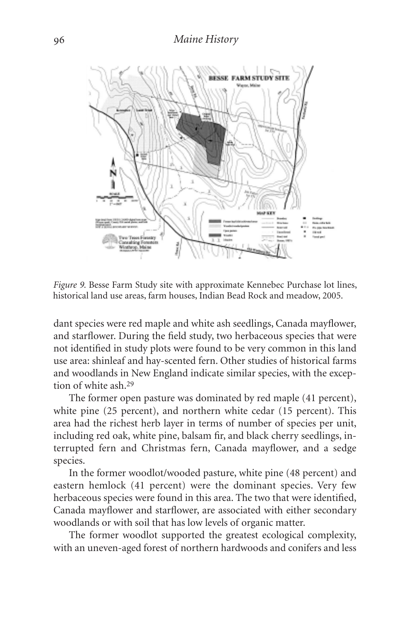

*Figure 9.* Besse Farm Study site with approximate Kennebec Purchase lot lines, historical land use areas, farm houses, Indian Bead Rock and meadow, 2005.

dant species were red maple and white ash seedlings, Canada mayflower, and starflower. During the field study, two herbaceous species that were not identified in study plots were found to be very common in this land use area: shinleaf and hay-scented fern. Other studies of historical farms and woodlands in New England indicate similar species, with the exception of white ash.29

The former open pasture was dominated by red maple (41 percent), white pine (25 percent), and northern white cedar (15 percent). This area had the richest herb layer in terms of number of species per unit, including red oak, white pine, balsam fir, and black cherry seedlings, interrupted fern and Christmas fern, Canada mayflower, and a sedge species.

In the former woodlot/wooded pasture, white pine (48 percent) and eastern hemlock (41 percent) were the dominant species. Very few herbaceous species were found in this area. The two that were identified, Canada mayflower and starflower, are associated with either secondary woodlands or with soil that has low levels of organic matter.

The former woodlot supported the greatest ecological complexity, with an uneven-aged forest of northern hardwoods and conifers and less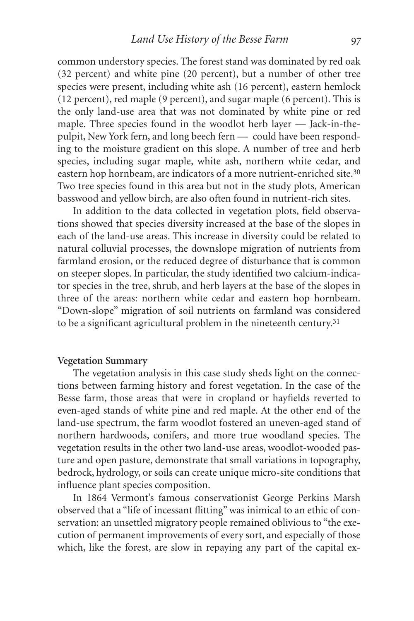common understory species. The forest stand was dominated by red oak (32 percent) and white pine (20 percent), but a number of other tree species were present, including white ash (16 percent), eastern hemlock (12 percent), red maple (9 percent), and sugar maple (6 percent). This is the only land-use area that was not dominated by white pine or red maple. Three species found in the woodlot herb layer — Jack-in-thepulpit, New York fern, and long beech fern — could have been responding to the moisture gradient on this slope. A number of tree and herb species, including sugar maple, white ash, northern white cedar, and eastern hop hornbeam, are indicators of a more nutrient-enriched site.<sup>30</sup> Two tree species found in this area but not in the study plots, American basswood and yellow birch, are also often found in nutrient-rich sites.

In addition to the data collected in vegetation plots, field observations showed that species diversity increased at the base of the slopes in each of the land-use areas. This increase in diversity could be related to natural colluvial processes, the downslope migration of nutrients from farmland erosion, or the reduced degree of disturbance that is common on steeper slopes. In particular, the study identified two calcium-indicator species in the tree, shrub, and herb layers at the base of the slopes in three of the areas: northern white cedar and eastern hop hornbeam. "Down-slope" migration of soil nutrients on farmland was considered to be a significant agricultural problem in the nineteenth century.<sup>31</sup>

## **Vegetation Summary**

The vegetation analysis in this case study sheds light on the connections between farming history and forest vegetation. In the case of the Besse farm, those areas that were in cropland or hayfields reverted to even-aged stands of white pine and red maple. At the other end of the land-use spectrum, the farm woodlot fostered an uneven-aged stand of northern hardwoods, conifers, and more true woodland species. The vegetation results in the other two land-use areas, woodlot-wooded pasture and open pasture, demonstrate that small variations in topography, bedrock, hydrology, or soils can create unique micro-site conditions that influence plant species composition.

In 1864 Vermont's famous conservationist George Perkins Marsh observed that a "life of incessant flitting" was inimical to an ethic of conservation: an unsettled migratory people remained oblivious to "the execution of permanent improvements of every sort, and especially of those which, like the forest, are slow in repaying any part of the capital ex-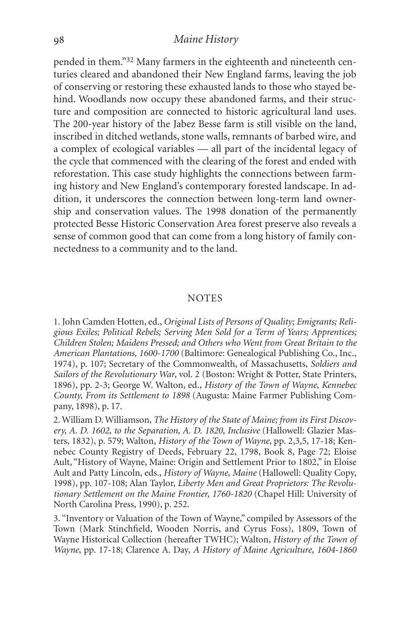## *Maine History*

pended in them."32 Many farmers in the eighteenth and nineteenth centuries cleared and abandoned their New England farms, leaving the job of conserving or restoring these exhausted lands to those who stayed behind. Woodlands now occupy these abandoned farms, and their structure and composition are connected to historic agricultural land uses. The 200-year history of the Jabez Besse farm is still visible on the land, inscribed in ditched wetlands, stone walls, remnants of barbed wire, and a complex of ecological variables — all part of the incidental legacy of the cycle that commenced with the clearing of the forest and ended with reforestation. This case study highlights the connections between farming history and New England's contemporary forested landscape. In addition, it underscores the connection between long-term land ownership and conservation values. The 1998 donation of the permanently protected Besse Historic Conservation Area forest preserve also reveals a sense of common good that can come from a long history of family connectedness to a community and to the land.

### **NOTES**

1. John Camden Hotten, ed., *Original Lists of Persons of Quality; Emigrants; Religious Exiles; Political Rebels; Serving Men Sold for a Term of Years; Apprentices; Children Stolen; Maidens Pressed; and Others who Went from Great Britain to the American Plantations, 1600-1700* (Baltimore: Genealogical Publishing Co., Inc., 1974), p. 107; Secretary of the Commonwealth, of Massachusetts, *Soldiers and Sailors of the Revolutionary War*, vol. 2 (Boston: Wright & Potter, State Printers, 1896), pp. 2-3; George W. Walton, ed., *History of the Town of Wayne, Kennebec County, From its Settlement to 1898* (Augusta: Maine Farmer Publishing Company, 1898), p. 17.

2. William D. Williamson, *The History of the State of Maine; from its First Discovery, A. D. 1602, to the Separation, A. D. 1820, Inclusive* (Hallowell: Glazier Masters, 1832), p. 579; Walton, *History of the Town of Wayne*, pp. 2,3,5, 17-18; Kennebec County Registry of Deeds, February 22, 1798, Book 8, Page 72; Eloise Ault, "History of Wayne, Maine: Origin and Settlement Prior to 1802," in Eloise Ault and Patty Lincoln, eds., *History of Wayne, Maine* (Hallowell: Quality Copy, 1998), pp. 107-108; Alan Taylor, *Liberty Men and Great Proprietors: The Revolutionary Settlement on the Maine Frontier, 1760-1820* (Chapel Hill: University of North Carolina Press, 1990), p. 252.

3. "Inventory or Valuation of the Town of Wayne," compiled by Assessors of the Town (Mark Stinchfield, Wooden Norris, and Cyrus Foss), 1809, Town of Wayne Historical Collection (hereafter TWHC); Walton, *History of the Town of Wayne*, pp. 17-18; Clarence A. Day, *A History of Maine Agriculture, 1604-1860*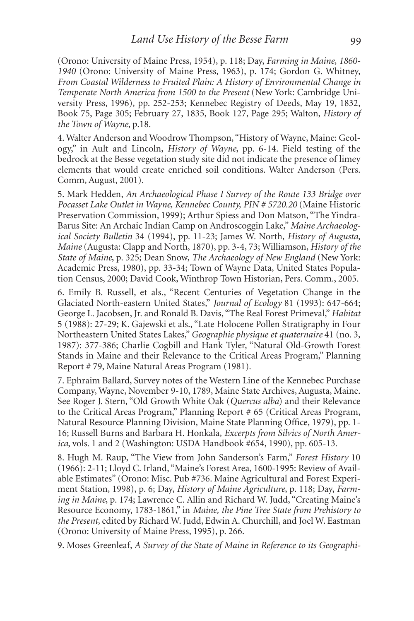(Orono: University of Maine Press, 1954), p. 118; Day, *Farming in Maine, 1860- 1940* (Orono: University of Maine Press, 1963), p. 174; Gordon G. Whitney, *From Coastal Wilderness to Fruited Plain: A History of Environmental Change in Temperate North America from 1500 to the Present* (New York: Cambridge University Press, 1996), pp. 252-253; Kennebec Registry of Deeds, May 19, 1832, Book 75, Page 305; February 27, 1835, Book 127, Page 295; Walton, *History of the Town of Wayne*, p.18.

4. Walter Anderson and Woodrow Thompson, "History of Wayne, Maine: Geology," in Ault and Lincoln, *History of Wayne*, pp. 6-14. Field testing of the bedrock at the Besse vegetation study site did not indicate the presence of limey elements that would create enriched soil conditions. Walter Anderson (Pers. Comm, August, 2001).

5. Mark Hedden, *An Archaeological Phase I Survey of the Route 133 Bridge over Pocasset Lake Outlet in Wayne, Kennebec County, PIN # 5720.20* (Maine Historic Preservation Commission, 1999); Arthur Spiess and Don Matson, "The Yindra-Barus Site: An Archaic Indian Camp on Androscoggin Lake," *Maine Archaeological Society Bulletin* 34 (1994), pp. 11-23; James W. North, *History of Augusta, Maine* (Augusta: Clapp and North, 1870), pp. 3-4, 73; Williamson, *History of the State of Maine*, p. 325; Dean Snow, *The Archaeology of New England* (New York: Academic Press, 1980), pp. 33-34; Town of Wayne Data, United States Population Census, 2000; David Cook, Winthrop Town Historian, Pers. Comm., 2005.

6. Emily B. Russell, et als., "Recent Centuries of Vegetation Change in the Glaciated North-eastern United States," *Journal of Ecology* 81 (1993): 647-664; George L. Jacobsen, Jr. and Ronald B. Davis, "The Real Forest Primeval," *Habitat* 5 (1988): 27-29; K. Gajewski et als., "Late Holocene Pollen Stratigraphy in Four Northeastern United States Lakes,"*Geographie physique et quaternaire* 41 (no. 3, 1987): 377-386; Charlie Cogbill and Hank Tyler, "Natural Old-Growth Forest Stands in Maine and their Relevance to the Critical Areas Program," Planning Report # 79, Maine Natural Areas Program (1981).

7. Ephraim Ballard, Survey notes of the Western Line of the Kennebec Purchase Company, Wayne, November 9-10, 1789, Maine State Archives, Augusta, Maine. See Roger J. Stern, "Old Growth White Oak (*Quercus alba*) and their Relevance to the Critical Areas Program," Planning Report # 65 (Critical Areas Program, Natural Resource Planning Division, Maine State Planning Office, 1979), pp. 1- 16; Russell Burns and Barbara H. Honkala, *Excerpts from Silvics of North America*, vols. 1 and 2 (Washington: USDA Handbook #654, 1990), pp. 605-13.

8. Hugh M. Raup, "The View from John Sanderson's Farm," *Forest History* 10 (1966): 2-11; Lloyd C. Irland, "Maine's Forest Area, 1600-1995: Review of Available Estimates" (Orono: Misc. Pub #736. Maine Agricultural and Forest Experiment Station, 1998), p. 6; Day, *History of Maine Agriculture*, p. 118; Day, *Farming in Maine*, p. 174; Lawrence C. Allin and Richard W. Judd, "Creating Maine's Resource Economy, 1783-1861," in *Maine, the Pine Tree State from Prehistory to the Present,* edited by Richard W. Judd, Edwin A. Churchill, and Joel W. Eastman (Orono: University of Maine Press, 1995), p. 266.

9. Moses Greenleaf, *A Survey of the State of Maine in Reference to its Geographi-*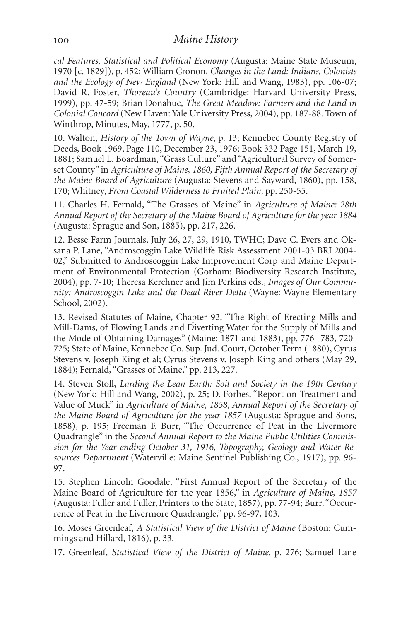*cal Features, Statistical and Political Economy* (Augusta: Maine State Museum, 1970 [c. 1829]), p. 452; William Cronon, *Changes in the Land: Indians, Colonists and the Ecology of New England* (New York: Hill and Wang, 1983), pp. 106-07; David R. Foster, *Thoreau's Country* (Cambridge: Harvard University Press, 1999), pp. 47-59; Brian Donahue, *The Great Meadow: Farmers and the Land in Colonial Concord* (New Haven: Yale University Press, 2004), pp. 187-88. Town of Winthrop, Minutes, May, 1777, p. 50.

10. Walton, *History of the Town of Wayne*, p. 13; Kennebec County Registry of Deeds, Book 1969, Page 110, December 23, 1976; Book 332 Page 151, March 19, 1881; Samuel L. Boardman, "Grass Culture" and "Agricultural Survey of Somerset County" in *Agriculture of Maine, 1860, Fifth Annual Report of the Secretary of the Maine Board of Agriculture* (Augusta: Stevens and Sayward, 1860), pp. 158, 170; Whitney, *From Coastal Wilderness to Fruited Plain*, pp. 250-55.

11. Charles H. Fernald, "The Grasses of Maine" in *Agriculture of Maine: 28th Annual Report of the Secretary of the Maine Board of Agriculture for the year 1884* (Augusta: Sprague and Son, 1885), pp. 217, 226.

12. Besse Farm Journals, July 26, 27, 29, 1910, TWHC; Dave C. Evers and Oksana P. Lane, "Androscoggin Lake Wildlife Risk Assessment 2001-03 BRI 2004- 02," Submitted to Androscoggin Lake Improvement Corp and Maine Department of Environmental Protection (Gorham: Biodiversity Research Institute, 2004), pp. 7-10; Theresa Kerchner and Jim Perkins eds., *Images of Our Community: Androscoggin Lake and the Dead River Delta* (Wayne: Wayne Elementary School, 2002).

13. Revised Statutes of Maine, Chapter 92, "The Right of Erecting Mills and Mill-Dams, of Flowing Lands and Diverting Water for the Supply of Mills and the Mode of Obtaining Damages" (Maine: 1871 and 1883), pp. 776 -783, 720- 725; State of Maine, Kennebec Co. Sup. Jud. Court, October Term (1880), Cyrus Stevens v. Joseph King et al; Cyrus Stevens v. Joseph King and others (May 29, 1884); Fernald, "Grasses of Maine," pp. 213, 227.

14. Steven Stoll, *Larding the Lean Earth: Soil and Society in the 19th Century* (New York: Hill and Wang, 2002), p. 25; D. Forbes, "Report on Treatment and Value of Muck" in *Agriculture of Maine, 1858, Annual Report of the Secretary of the Maine Board of Agriculture for the year 1857* (Augusta: Sprague and Sons, 1858), p. 195; Freeman F. Burr, "The Occurrence of Peat in the Livermore Quadrangle" in the *Second Annual Report to the Maine Public Utilities Commission for the Year ending October 31, 1916, Topography, Geology and Water Resources Department* (Waterville: Maine Sentinel Publishing Co., 1917), pp. 96- 97.

15. Stephen Lincoln Goodale, "First Annual Report of the Secretary of the Maine Board of Agriculture for the year 1856," in *Agriculture of Maine, 1857* (Augusta: Fuller and Fuller, Printers to the State, 1857), pp. 77-94; Burr, "Occurrence of Peat in the Livermore Quadrangle," pp. 96-97, 103.

16. Moses Greenleaf, *A Statistical View of the District of Maine* (Boston: Cummings and Hillard, 1816), p. 33.

17. Greenleaf, *Statistical View of the District of Maine*, p. 276; Samuel Lane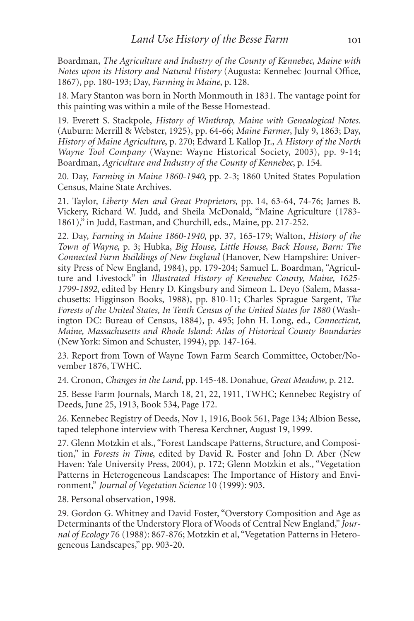Boardman, *The Agriculture and Industry of the County of Kennebec, Maine with Notes upon its History and Natural History* (Augusta: Kennebec Journal Office, 1867), pp. 180-193; Day, *Farming in Maine*, p. 128.

18. Mary Stanton was born in North Monmouth in 1831. The vantage point for this painting was within a mile of the Besse Homestead.

19. Everett S. Stackpole, *History of Winthrop, Maine with Genealogical Notes*. (Auburn: Merrill & Webster, 1925), pp. 64-66; *Maine Farmer*, July 9, 1863; Day, *History of Maine Agriculture*, p. 270; Edward L Kallop Jr., *A History of the North Wayne Tool Company* (Wayne: Wayne Historical Society, 2003), pp. 9-14; Boardman, *Agriculture and Industry of the County of Kennebec*, p. 154.

20. Day, *Farming in Maine 1860-1940*, pp. 2-3; 1860 United States Population Census, Maine State Archives.

21. Taylor, *Liberty Men and Great Proprietors*, pp. 14, 63-64, 74-76; James B. Vickery, Richard W. Judd, and Sheila McDonald, "Maine Agriculture (1783- 1861)," in Judd, Eastman, and Churchill, eds., Maine, pp. 217-252.

22. Day, *Farming in Maine 1860-1940*, pp. 37, 165-179; Walton, *History of the Town of Wayne*, p. 3; Hubka, *Big House, Little House, Back House, Barn: The Connected Farm Buildings of New England* (Hanover, New Hampshire: University Press of New England, 1984), pp. 179-204; Samuel L. Boardman, "Agriculture and Livestock" in *Illustrated History of Kennebec County, Maine, 1625- 1799-1892*, edited by Henry D. Kingsbury and Simeon L. Deyo (Salem, Massachusetts: Higginson Books, 1988), pp. 810-11; Charles Sprague Sargent, *The Forests of the United States, In Tenth Census of the United States for 1880* (Washington DC: Bureau of Census, 1884), p. 495; John H. Long, ed., *Connecticut, Maine, Massachusetts and Rhode Island: Atlas of Historical County Boundaries* (New York: Simon and Schuster, 1994), pp. 147-164.

23. Report from Town of Wayne Town Farm Search Committee, October/November 1876, TWHC.

24. Cronon, *Changes in the Land*, pp. 145-48. Donahue, *Great Meadow*, p. 212.

25. Besse Farm Journals, March 18, 21, 22, 1911, TWHC; Kennebec Registry of Deeds, June 25, 1913, Book 534, Page 172.

26. Kennebec Registry of Deeds, Nov 1, 1916, Book 561, Page 134; Albion Besse, taped telephone interview with Theresa Kerchner, August 19, 1999.

27. Glenn Motzkin et als., "Forest Landscape Patterns, Structure, and Composition," in *Forests in Time*, edited by David R. Foster and John D. Aber (New Haven: Yale University Press, 2004), p. 172; Glenn Motzkin et als., "Vegetation Patterns in Heterogeneous Landscapes: The Importance of History and Environment," *Journal of Vegetation Science* 10 (1999): 903.

28. Personal observation, 1998.

29. Gordon G. Whitney and David Foster, "Overstory Composition and Age as Determinants of the Understory Flora of Woods of Central New England," *Journal of Ecology* 76 (1988): 867-876; Motzkin et al, "Vegetation Patterns in Heterogeneous Landscapes," pp. 903-20.